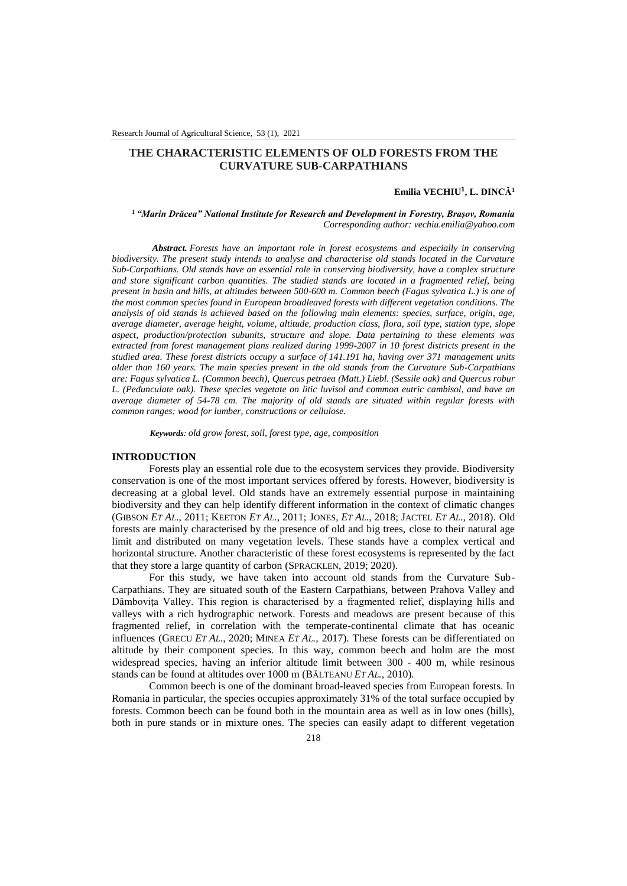# **THE CHARACTERISTIC ELEMENTS OF OLD FORESTS FROM THE CURVATURE SUB-CARPATHIANS**

## **Emilia VECHIU¹, L. DINCĂ<sup>1</sup>**

#### *<sup>1</sup>"Marin Drăcea" National Institute for Research and Development in Forestry, Brașov, Romania Corresponding author: vechiu.emilia@yahoo.com*

*Abstract. Forests have an important role in forest ecosystems and especially in conserving biodiversity. The present study intends to analyse and characterise old stands located in the Curvature Sub-Carpathians. Old stands have an essential role in conserving biodiversity, have a complex structure and store significant carbon quantities. The studied stands are located in a fragmented relief, being present in basin and hills, at altitudes between 500-600 m. Common beech (Fagus sylvatica L.) is one of the most common species found in European broadleaved forests with different vegetation conditions. The analysis of old stands is achieved based on the following main elements: species, surface, origin, age, average diameter, average height, volume, altitude, production class, flora, soil type, station type, slope aspect, production/protection subunits, structure and slope. Data pertaining to these elements was extracted from forest management plans realized during 1999-2007 in 10 forest districts present in the studied area. These forest districts occupy a surface of 141.191 ha, having over 371 management units older than 160 years. The main species present in the old stands from the Curvature Sub-Carpathians are: Fagus sylvatica L. (Common beech), Quercus petraea (Matt.) Liebl. (Sessile oak) and Quercus robur L. (Pedunculate oak). These species vegetate on litic luvisol and common eutric cambisol, and have an average diameter of 54-78 cm. The majority of old stands are situated within regular forests with common ranges: wood for lumber, constructions or cellulose.*

*Keywords: old grow forest, soil, forest type, age, composition*

## **INTRODUCTION**

Forests play an essential role due to the ecosystem services they provide. Biodiversity conservation is one of the most important services offered by forests. However, biodiversity is decreasing at a global level. Old stands have an extremely essential purpose in maintaining biodiversity and they can help identify different information in the context of climatic changes (GIBSON *ET AL*., 2011; KEETON *ET AL*., 2011; JONES, *ET AL.*, 2018; JACTEL *ET AL*., 2018). Old forests are mainly characterised by the presence of old and big trees, close to their natural age limit and distributed on many vegetation levels. These stands have a complex vertical and horizontal structure. Another characteristic of these forest ecosystems is represented by the fact that they store a large quantity of carbon (SPRACKLEN, 2019; 2020).

For this study, we have taken into account old stands from the Curvature Sub-Carpathians. They are situated south of the Eastern Carpathians, between Prahova Valley and Dâmbovița Valley. This region is characterised by a fragmented relief, displaying hills and valleys with a rich hydrographic network. Forests and meadows are present because of this fragmented relief, in correlation with the temperate-continental climate that has oceanic influences (GRECU *ET AL*., 2020; MINEA *ET AL.,* 2017). These forests can be differentiated on altitude by their component species. In this way, common beech and holm are the most widespread species, having an inferior altitude limit between 300 - 400 m, while resinous stands can be found at altitudes over 1000 m (BĂLTEANU *ET AL.,* 2010).

Common beech is one of the dominant broad-leaved species from European forests. In Romania in particular, the species occupies approximately 31% of the total surface occupied by forests. Common beech can be found both in the mountain area as well as in low ones (hills), both in pure stands or in mixture ones. The species can easily adapt to different vegetation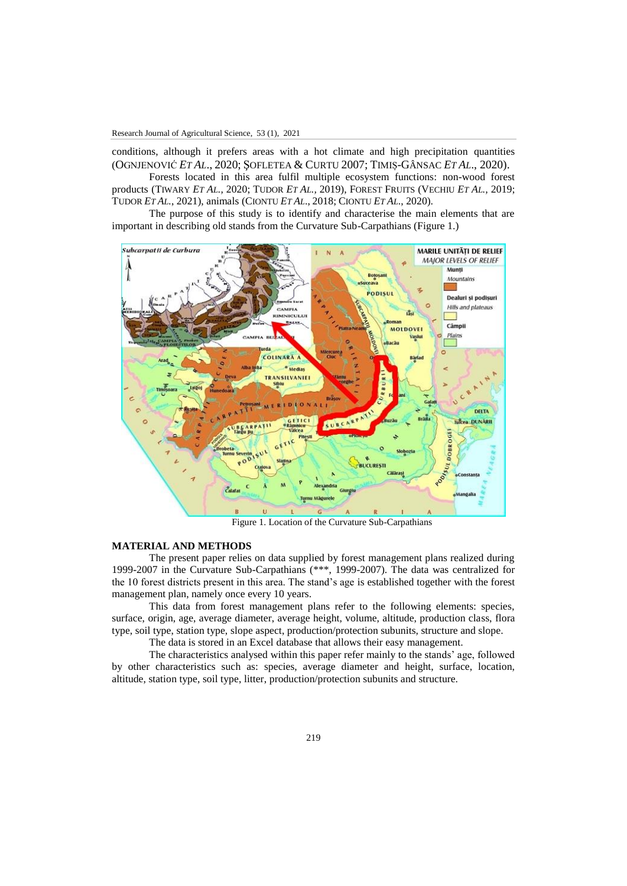conditions, although it prefers areas with a hot climate and high precipitation quantities (OGNJENOVIĆ *ET AL*., 2020; ŞOFLETEA & CURTU 2007; TIMIȘ-GÂNSAC *ET AL*., 2020).

Forests located in this area fulfil multiple ecosystem functions: non-wood forest products (TIWARY *ET AL.,* 2020; TUDOR *ET AL.,* 2019), FOREST FRUITS (VECHIU *ET AL.,* 2019; TUDOR *ET AL.*, 2021), animals (CIONTU *ET AL*., 2018; CIONTU *ET AL*., 2020).

The purpose of this study is to identify and characterise the main elements that are important in describing old stands from the Curvature Sub-Carpathians (Figure 1.)



Figure 1. Location of the Curvature Sub-Carpathians

### **MATERIAL AND METHODS**

The present paper relies on data supplied by forest management plans realized during 1999-2007 in the Curvature Sub-Carpathians (\*\*\*, 1999-2007). The data was centralized for the 10 forest districts present in this area. The stand's age is established together with the forest management plan, namely once every 10 years.

This data from forest management plans refer to the following elements: species, surface, origin, age, average diameter, average height, volume, altitude, production class, flora type, soil type, station type, slope aspect, production/protection subunits, structure and slope.

The data is stored in an Excel database that allows their easy management.

The characteristics analysed within this paper refer mainly to the stands' age, followed by other characteristics such as: species, average diameter and height, surface, location, altitude, station type, soil type, litter, production/protection subunits and structure.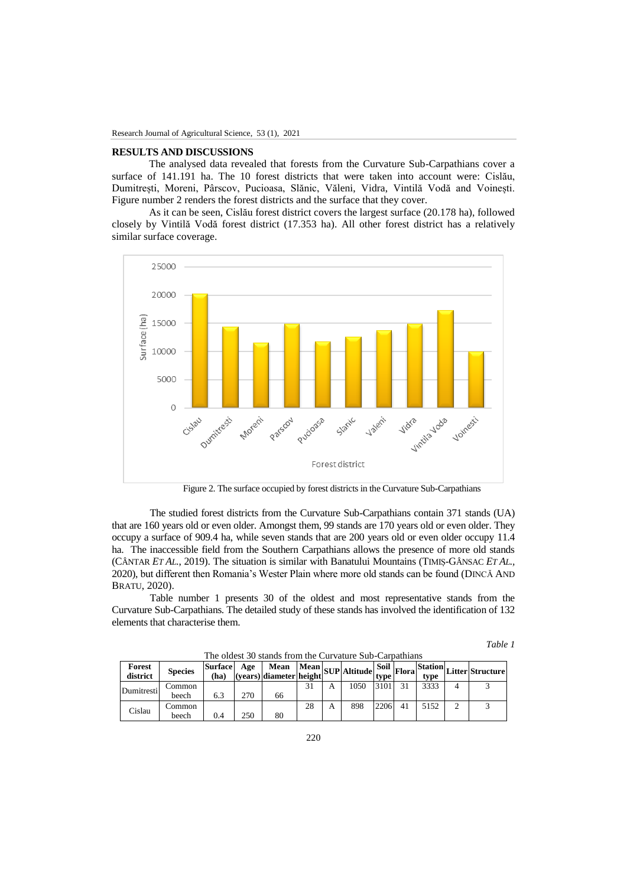## **RESULTS AND DISCUSSIONS**

The analysed data revealed that forests from the Curvature Sub-Carpathians cover a surface of 141.191 ha. The 10 forest districts that were taken into account were: Cislău, Dumitrești, Moreni, Pârscov, Pucioasa, Slănic, Văleni, Vidra, Vintilă Vodă and Voinești. Figure number 2 renders the forest districts and the surface that they cover.

As it can be seen, Cislău forest district covers the largest surface (20.178 ha), followed closely by Vintilă Vodă forest district (17.353 ha). All other forest district has a relatively similar surface coverage.



Figure 2. The surface occupied by forest districts in the Curvature Sub-Carpathians

The studied forest districts from the Curvature Sub-Carpathians contain 371 stands (UA) that are 160 years old or even older. Amongst them, 99 stands are 170 years old or even older. They occupy a surface of 909.4 ha, while seven stands that are 200 years old or even older occupy 11.4 ha. The inaccessible field from the Southern Carpathians allows the presence of more old stands (CÂNTAR *ET AL*., 2019). The situation is similar with Banatului Mountains (TIMIȘ-GÂNSAC *ET AL.,* 2020), but different then Romania's Wester Plain where more old stands can be found (DINCĂ AND BRATU, 2020).

Table number 1 presents 30 of the oldest and most representative stands from the Curvature Sub-Carpathians. The detailed study of these stands has involved the identification of 132 elements that characterise them.

| Forest<br>district | <b>Species</b> | <b>Surface</b><br>(ha) |     | Age Mean Mean SUP Altitude Soil Flora |    |  |      |      |  | tvpe |  | Tora Station Litter Structure |  |
|--------------------|----------------|------------------------|-----|---------------------------------------|----|--|------|------|--|------|--|-------------------------------|--|
| Dumitresti         | Common         |                        |     |                                       |    |  | 1050 | 3101 |  | 3333 |  |                               |  |
|                    | beech          | 6.3                    | 270 | 66                                    |    |  |      |      |  |      |  |                               |  |
| Cislau             | Common         |                        |     |                                       | 28 |  | 898  | 2206 |  | 5152 |  |                               |  |
|                    | beech          | 0.4                    | 250 | 80                                    |    |  |      |      |  |      |  |                               |  |

The oldest 30 stands from the Curvature Sub-Carpathians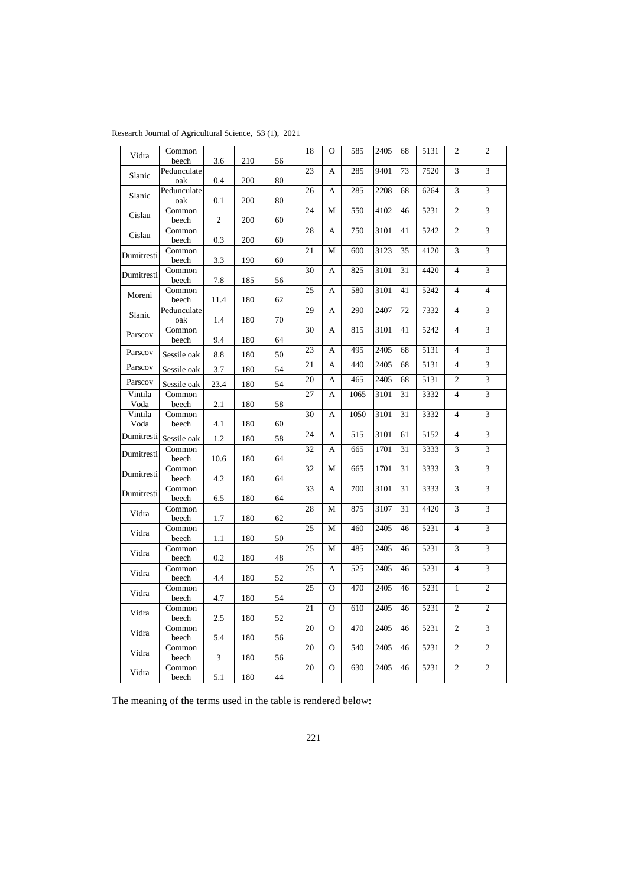| Research Journal of Agricultural Science, 53 (1), 2021 |  |  |
|--------------------------------------------------------|--|--|
|--------------------------------------------------------|--|--|

| Vidra           | Common<br>beech    | 3.6            | 210 | 56 | 18 | $\Omega$       | 585  | 2405 | 68 | 5131 | $\overline{2}$ | $\overline{c}$ |
|-----------------|--------------------|----------------|-----|----|----|----------------|------|------|----|------|----------------|----------------|
| Slanic          | Pedunculate<br>oak | 0.4            | 200 | 80 | 23 | A              | 285  | 9401 | 73 | 7520 | 3              | 3              |
| Slanic          | Pedunculate        |                |     |    | 26 | A              | 285  | 2208 | 68 | 6264 | 3              | 3              |
| Cislau          | oak<br>Common      | 0.1            | 200 | 80 | 24 | M              | 550  | 4102 | 46 | 5231 | $\overline{c}$ | 3              |
|                 | beech<br>Common    | $\overline{c}$ | 200 | 60 | 28 | A              | 750  | 3101 | 41 | 5242 | $\mathfrak{D}$ | 3              |
| Cislau          | beech              | 0.3            | 200 | 60 |    |                |      |      |    |      |                |                |
| Dumitresti      | Common<br>beech    | 3.3            | 190 | 60 | 21 | M              | 600  | 3123 | 35 | 4120 | 3              | 3              |
| Dumitresti      | Common<br>beech    | 7.8            | 185 | 56 | 30 | A              | 825  | 3101 | 31 | 4420 | $\overline{4}$ | 3              |
| Moreni          | Common<br>beech    | 11.4           | 180 | 62 | 25 | $\overline{A}$ | 580  | 3101 | 41 | 5242 | $\overline{4}$ | $\overline{4}$ |
| Slanic          | Pedunculate<br>oak | 1.4            | 180 | 70 | 29 | A              | 290  | 2407 | 72 | 7332 | $\overline{4}$ | 3              |
| Parscov         | Common<br>beech    | 9.4            | 180 | 64 | 30 | A              | 815  | 3101 | 41 | 5242 | $\overline{4}$ | 3              |
| Parscov         | Sessile oak        | 8.8            | 180 | 50 | 23 | A              | 495  | 2405 | 68 | 5131 | $\overline{4}$ | $\overline{3}$ |
| Parscov         | Sessile oak        | 3.7            | 180 | 54 | 21 | A              | 440  | 2405 | 68 | 5131 | $\overline{4}$ | 3              |
| Parscov         | Sessile oak        | 23.4           | 180 | 54 | 20 | A              | 465  | 2405 | 68 | 5131 | $\overline{2}$ | 3              |
| Vintila<br>Voda | Common<br>beech    | 2.1            | 180 | 58 | 27 | A              | 1065 | 3101 | 31 | 3332 | $\overline{4}$ | 3              |
| Vintila<br>Voda | Common<br>beech    | 4.1            | 180 | 60 | 30 | A              | 1050 | 3101 | 31 | 3332 | $\overline{4}$ | 3              |
| Dumitresti      | Sessile oak        | 1.2            | 180 | 58 | 24 | A              | 515  | 3101 | 61 | 5152 | $\overline{4}$ | 3              |
| Dumitresti      | Common<br>beech    | 10.6           | 180 | 64 | 32 | A              | 665  | 1701 | 31 | 3333 | 3              | 3              |
| Dumitresti      | Common<br>beech    | 4.2            | 180 | 64 | 32 | М              | 665  | 1701 | 31 | 3333 | 3              | 3              |
| Dumitresti      | Common             |                |     |    | 33 | A              | 700  | 3101 | 31 | 3333 | 3              | 3              |
| Vidra           | beech<br>Common    | 6.5            | 180 | 64 | 28 | M              | 875  | 3107 | 31 | 4420 | 3              | 3              |
|                 | beech<br>Common    | 1.7            | 180 | 62 | 25 | M              | 460  | 2405 | 46 | 5231 | $\overline{4}$ | 3              |
| Vidra           | beech<br>Common    | 1.1            | 180 | 50 | 25 | M              | 485  | 2405 | 46 | 5231 | 3              | 3              |
| Vidra           | beech              | 0.2            | 180 | 48 |    |                |      |      |    |      |                |                |
| Vidra           | Common<br>beech    | 4.4            | 180 | 52 | 25 | A              | 525  | 2405 | 46 | 5231 | $\overline{4}$ | 3              |
| Vidra           | Common<br>beech    | 4.7            | 180 | 54 | 25 | $\Omega$       | 470  | 2405 | 46 | 5231 | $\mathbf{1}$   | $\overline{c}$ |
| Vidra           | Common<br>beech    | 2.5            | 180 | 52 | 21 | $\Omega$       | 610  | 2405 | 46 | 5231 | $\overline{2}$ | $\overline{2}$ |
| Vidra           | Common             |                |     |    | 20 | $\Omega$       | 470  | 2405 | 46 | 5231 | $\overline{c}$ | $\overline{3}$ |
| Vidra           | beech<br>Common    | 5.4            | 180 | 56 | 20 | $\Omega$       | 540  | 2405 | 46 | 5231 | $\overline{c}$ | $\overline{2}$ |
|                 | beech<br>Common    | 3              | 180 | 56 | 20 | $\Omega$       | 630  | 2405 | 46 | 5231 | $\mathfrak{2}$ | $\overline{c}$ |
| Vidra           | beech              | 5.1            | 180 | 44 |    |                |      |      |    |      |                |                |

The meaning of the terms used in the table is rendered below: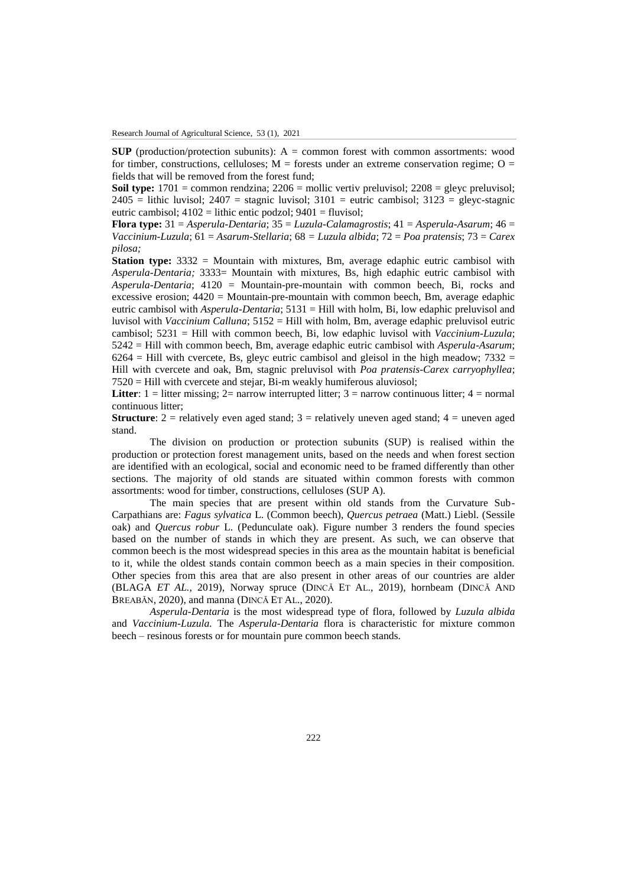**SUP** (production/protection subunits): A = common forest with common assortments: wood for timber, constructions, celluloses;  $M =$  forests under an extreme conservation regime;  $O =$ fields that will be removed from the forest fund;

**Soil type:** 1701 = common rendzina; 2206 = mollic vertiv preluvisol; 2208 = gleyc preluvisol;  $2405$  = lithic luvisol;  $2407$  = stagnic luvisol;  $3101$  = eutric cambisol;  $3123$  = gleyc-stagnic eutric cambisol;  $4102 =$  lithic entic podzol;  $9401 =$  fluvisol;

**Flora type:** 31 = *Asperula-Dentaria*; 35 = *Luzula-Calamagrostis*; 41 = *Asperula-Asarum*; 46 = *Vaccinium-Luzula*; 61 = *Asarum-Stellaria*; 68 *= Luzula albida*; 72 = *Poa pratensis*; 73 = *Carex pilosa;*

**Station type:** 3332 = Mountain with mixtures, Bm, average edaphic eutric cambisol with *Asperula-Dentaria;* 3333= Mountain with mixtures, Bs, high edaphic eutric cambisol with *Asperula-Dentaria*; 4120 = Mountain-pre-mountain with common beech, Bi, rocks and excessive erosion;  $4420 =$  Mountain-pre-mountain with common beech, Bm, average edaphic eutric cambisol with *Asperula-Dentaria*; 5131 = Hill with holm, Bi, low edaphic preluvisol and luvisol with *Vaccinium Calluna*; 5152 = Hill with holm, Bm, average edaphic preluvisol eutric cambisol; 5231 = Hill with common beech, Bi, low edaphic luvisol with *Vaccinium-Luzula*; 5242 = Hill with common beech, Bm, average edaphic eutric cambisol with *Asperula-Asarum*;  $6264$  = Hill with cvercete, Bs, gleyc eutric cambisol and gleisol in the high meadow;  $7332$  = Hill with cvercete and oak, Bm, stagnic preluvisol with *Poa pratensis-Carex carryophyllea*; 7520 = Hill with cvercete and stejar, Bi-m weakly humiferous aluviosol;

**Litter**:  $1 =$  litter missing;  $2 =$  narrow interrupted litter;  $3 =$  narrow continuous litter;  $4 =$  normal continuous litter;

**Structure**:  $2 =$  relatively even aged stand;  $3 =$  relatively uneven aged stand;  $4 =$  uneven aged stand.

The division on production or protection subunits (SUP) is realised within the production or protection forest management units, based on the needs and when forest section are identified with an ecological, social and economic need to be framed differently than other sections. The majority of old stands are situated within common forests with common assortments: wood for timber, constructions, celluloses (SUP A).

The main species that are present within old stands from the Curvature Sub-Carpathians are: *Fagus sylvatica* L. (Common beech), *Quercus petraea* (Matt.) Liebl. (Sessile oak) and *Quercus robur* L. (Pedunculate oak). Figure number 3 renders the found species based on the number of stands in which they are present. As such, we can observe that common beech is the most widespread species in this area as the mountain habitat is beneficial to it, while the oldest stands contain common beech as a main species in their composition. Other species from this area that are also present in other areas of our countries are alder (BLAGA *ET AL.*, 2019), Norway spruce (DINCĂ ET AL., 2019), hornbeam (DINCĂ AND BREABĂN, 2020), and manna (DINCĂ ET AL., 2020).

*Asperula-Dentaria* is the most widespread type of flora, followed by *Luzula albida* and *Vaccinium-Luzula.* The *Asperula-Dentaria* flora is characteristic for mixture common beech – resinous forests or for mountain pure common beech stands.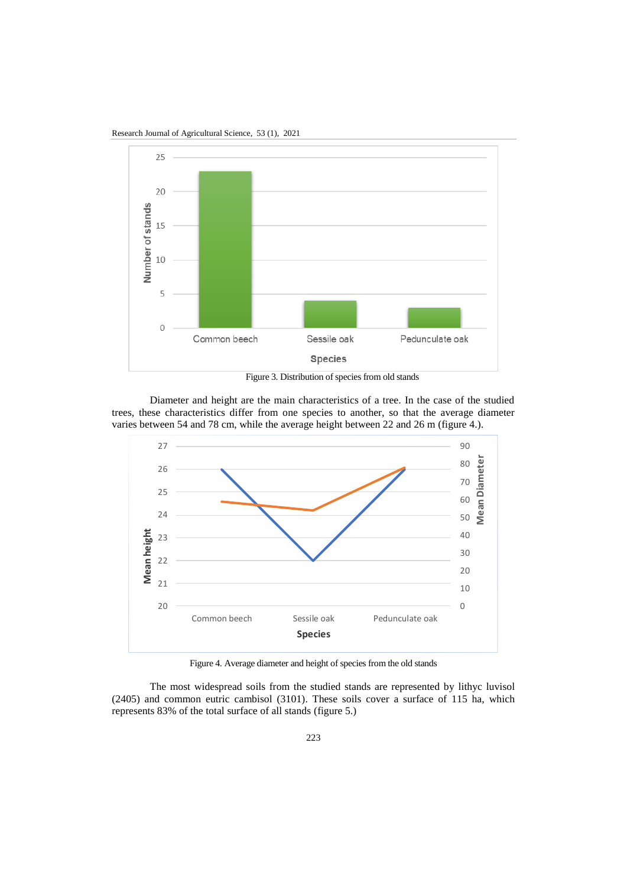Research Journal of Agricultural Science, 53 (1), 2021



Figure 3. Distribution of species from old stands

Diameter and height are the main characteristics of a tree. In the case of the studied trees, these characteristics differ from one species to another, so that the average diameter



Figure 4. Average diameter and height of species from the old stands

The most widespread soils from the studied stands are represented by lithyc luvisol (2405) and common eutric cambisol (3101). These soils cover a surface of 115 ha, which represents 83% of the total surface of all stands (figure 5.)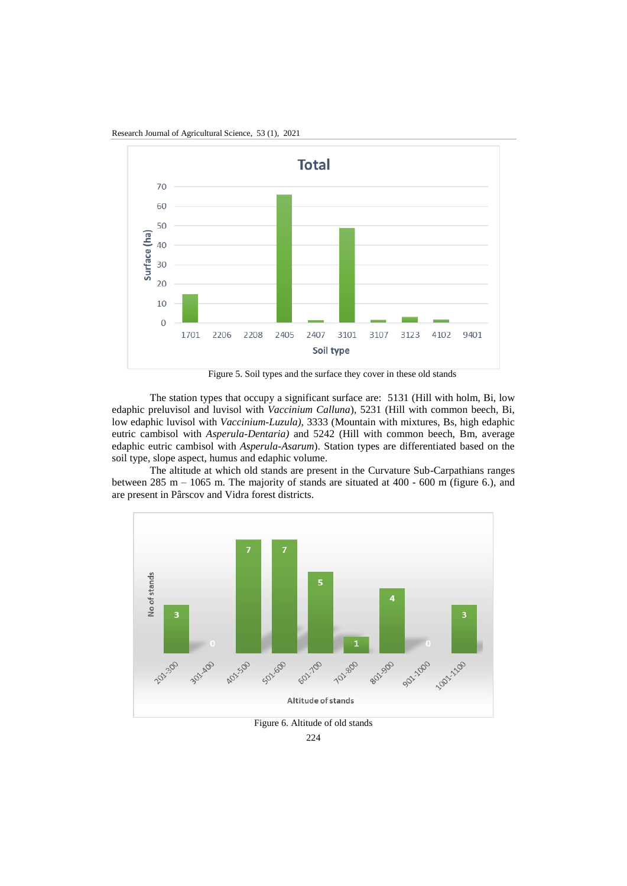

Research Journal of Agricultural Science, 53 (1), 2021

Figure 5. Soil types and the surface they cover in these old stands

The station types that occupy a significant surface are: 5131 (Hill with holm, Bi, low edaphic preluvisol and luvisol with *Vaccinium Calluna*), 5231 (Hill with common beech, Bi, low edaphic luvisol with *Vaccinium-Luzula)*, 3333 (Mountain with mixtures, Bs, high edaphic eutric cambisol with *Asperula-Dentaria)* and 5242 (Hill with common beech, Bm, average edaphic eutric cambisol with *Asperula-Asarum*). Station types are differentiated based on the soil type, slope aspect, humus and edaphic volume.

The altitude at which old stands are present in the Curvature Sub-Carpathians ranges between 285 m – 1065 m. The majority of stands are situated at  $400 - 600$  m (figure 6.), and are present in Pârscov and Vidra forest districts.



Figure 6. Altitude of old stands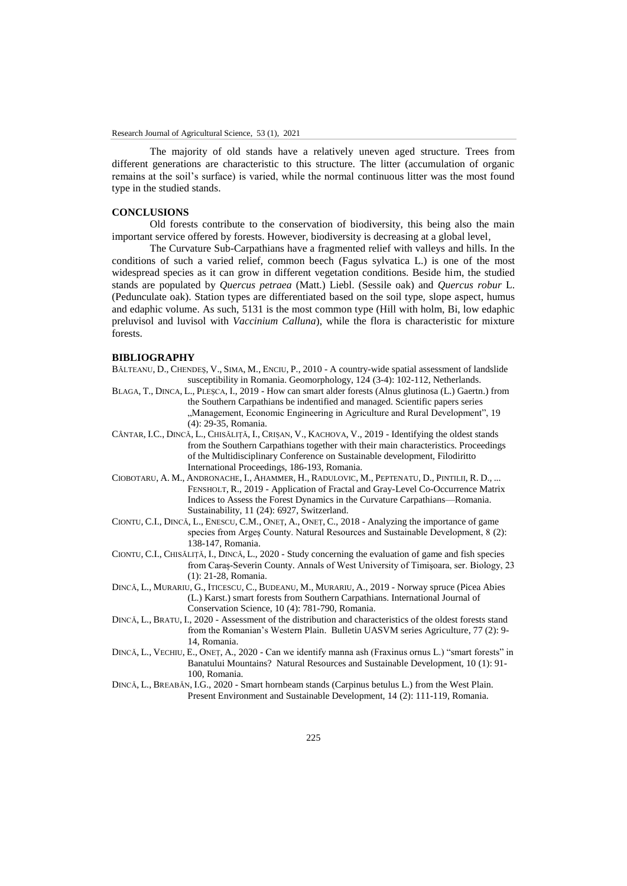The majority of old stands have a relatively uneven aged structure. Trees from different generations are characteristic to this structure. The litter (accumulation of organic remains at the soil's surface) is varied, while the normal continuous litter was the most found type in the studied stands.

### **CONCLUSIONS**

Old forests contribute to the conservation of biodiversity, this being also the main important service offered by forests. However, biodiversity is decreasing at a global level,

The Curvature Sub-Carpathians have a fragmented relief with valleys and hills. In the conditions of such a varied relief, common beech (Fagus sylvatica L.) is one of the most widespread species as it can grow in different vegetation conditions. Beside him, the studied stands are populated by *Quercus petraea* (Matt.) Liebl. (Sessile oak) and *Quercus robur* L. (Pedunculate oak). Station types are differentiated based on the soil type, slope aspect, humus and edaphic volume. As such, 5131 is the most common type (Hill with holm, Bi, low edaphic preluvisol and luvisol with *Vaccinium Calluna*), while the flora is characteristic for mixture forests.

#### **BIBLIOGRAPHY**

- BĂLTEANU, D., CHENDEŞ, V., SIMA, M., ENCIU, P., 2010 A country-wide spatial assessment of landslide susceptibility in Romania. Geomorphology, 124 (3-4): 102-112, Netherlands.
- BLAGA, T., DINCA, L., PLEȘCA, I., 2019 How can smart alder forests (Alnus glutinosa (L.) Gaertn.) from the Southern Carpathians be indentified and managed. Scientific papers series "Management, Economic Engineering in Agriculture and Rural Development", 19 (4): 29-35, Romania.
- CÂNTAR, I.C., DINCĂ, L., CHISĂLIȚĂ, I., CRIȘAN, V., KACHOVA, V., 2019 Identifying the oldest stands from the Southern Carpathians together with their main characteristics. Proceedings of the Multidisciplinary Conference on Sustainable development, Filodiritto International Proceedings, 186-193, Romania.
- CIOBOTARU, A. M., ANDRONACHE, I., AHAMMER, H., RADULOVIC, M., PEPTENATU, D., PINTILII, R. D., ... FENSHOLT, R., 2019 - Application of Fractal and Gray-Level Co-Occurrence Matrix Indices to Assess the Forest Dynamics in the Curvature Carpathians—Romania. Sustainability, 11 (24): 6927, Switzerland.
- CIONTU, C.I., DINCĂ, L., ENESCU, C.M., ONEȚ, A., ONEȚ, C., 2018 Analyzing the importance of game species from Argeș County. Natural Resources and Sustainable Development, 8 (2): 138-147, Romania.
- CIONTU, C.I., CHISĂLIȚĂ, I., DINCĂ, L., 2020 Study concerning the evaluation of game and fish species from Caraș-Severin County. Annals of West University of Timişoara, ser. Biology, 23 (1): 21-28, Romania.
- DINCĂ, L., MURARIU, G., ITICESCU, C., BUDEANU, M., MURARIU, A., 2019 Norway spruce (Picea Abies (L.) Karst.) smart forests from Southern Carpathians. International Journal of Conservation Science, 10 (4): 781-790, Romania.
- DINCĂ, L., BRATU, I., 2020 Assessment of the distribution and characteristics of the oldest forests stand from the Romanian's Western Plain. Bulletin UASVM series Agriculture, 77 (2): 9- 14, Romania.
- DINCĂ, L., VECHIU, E., ONEȚ, A., 2020 Can we identify manna ash (Fraxinus ornus L.) "smart forests" in Banatului Mountains? Natural Resources and Sustainable Development, 10 (1): 91- 100, Romania.
- DINCĂ, L., BREABĂN, I.G., 2020 Smart hornbeam stands (Carpinus betulus L.) from the West Plain. Present Environment and Sustainable Development, 14 (2): 111-119, Romania.